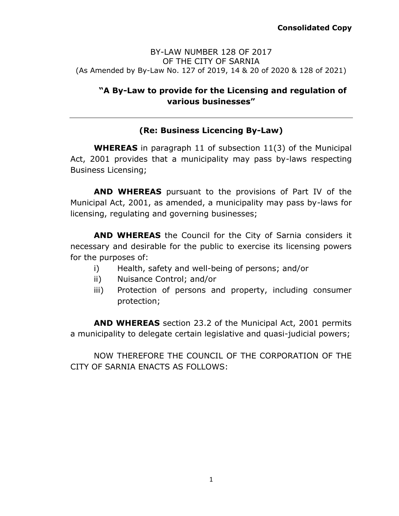#### BY-LAW NUMBER 128 OF 2017 OF THE CITY OF SARNIA (As Amended by By-Law No. 127 of 2019, 14 & 20 of 2020 & 128 of 2021)

# **"A By-Law to provide for the Licensing and regulation of various businesses"**

# **(Re: Business Licencing By-Law)**

**WHEREAS** in paragraph 11 of subsection 11(3) of the Municipal Act, 2001 provides that a municipality may pass by-laws respecting Business Licensing;

**AND WHEREAS** pursuant to the provisions of Part IV of the Municipal Act, 2001, as amended, a municipality may pass by-laws for licensing, regulating and governing businesses;

**AND WHEREAS** the Council for the City of Sarnia considers it necessary and desirable for the public to exercise its licensing powers for the purposes of:

- i) Health, safety and well-being of persons; and/or
- ii) Nuisance Control; and/or
- iii) Protection of persons and property, including consumer protection;

**AND WHEREAS** section 23.2 of the Municipal Act, 2001 permits a municipality to delegate certain legislative and quasi-judicial powers;

NOW THEREFORE THE COUNCIL OF THE CORPORATION OF THE CITY OF SARNIA ENACTS AS FOLLOWS: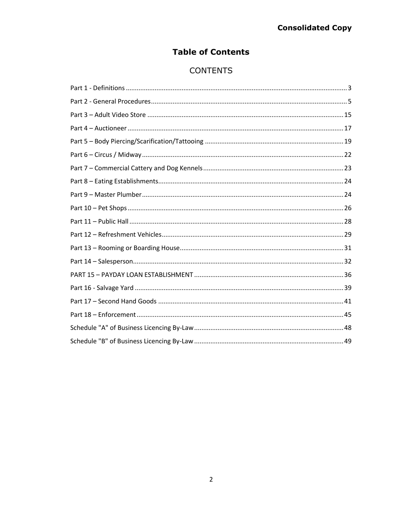# **Table of Contents**

# **CONTENTS**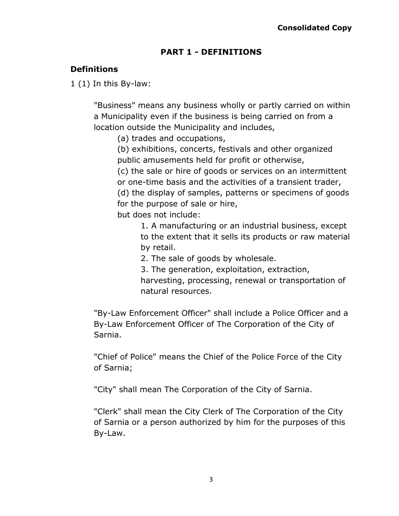# **PART 1 - DEFINITIONS**

# <span id="page-2-0"></span>**Definitions**

1 (1) In this By-law:

"Business" means any business wholly or partly carried on within a Municipality even if the business is being carried on from a location outside the Municipality and includes,

(a) trades and occupations,

(b) exhibitions, concerts, festivals and other organized public amusements held for profit or otherwise,

(c) the sale or hire of goods or services on an intermittent or one-time basis and the activities of a transient trader, (d) the display of samples, patterns or specimens of goods for the purpose of sale or hire,

but does not include:

1. A manufacturing or an industrial business, except to the extent that it sells its products or raw material by retail.

2. The sale of goods by wholesale.

3. The generation, exploitation, extraction, harvesting, processing, renewal or transportation of natural resources.

"By-Law Enforcement Officer" shall include a Police Officer and a By-Law Enforcement Officer of The Corporation of the City of Sarnia.

"Chief of Police" means the Chief of the Police Force of the City of Sarnia;

"City" shall mean The Corporation of the City of Sarnia.

"Clerk" shall mean the City Clerk of The Corporation of the City of Sarnia or a person authorized by him for the purposes of this By-Law.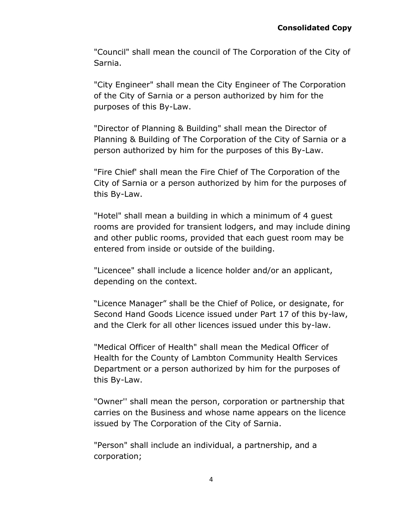"Council" shall mean the council of The Corporation of the City of Sarnia.

"City Engineer" shall mean the City Engineer of The Corporation of the City of Sarnia or a person authorized by him for the purposes of this By-Law.

"Director of Planning & Building" shall mean the Director of Planning & Building of The Corporation of the City of Sarnia or a person authorized by him for the purposes of this By-Law.

"Fire Chief' shall mean the Fire Chief of The Corporation of the City of Sarnia or a person authorized by him for the purposes of this By-Law.

"Hotel" shall mean a building in which a minimum of 4 guest rooms are provided for transient lodgers, and may include dining and other public rooms, provided that each guest room may be entered from inside or outside of the building.

"Licencee" shall include a licence holder and/or an applicant, depending on the context.

"Licence Manager" shall be the Chief of Police, or designate, for Second Hand Goods Licence issued under Part 17 of this by-law, and the Clerk for all other licences issued under this by-law.

"Medical Officer of Health" shall mean the Medical Officer of Health for the County of Lambton Community Health Services Department or a person authorized by him for the purposes of this By-Law.

"Owner'' shall mean the person, corporation or partnership that carries on the Business and whose name appears on the licence issued by The Corporation of the City of Sarnia.

"Person" shall include an individual, a partnership, and a corporation;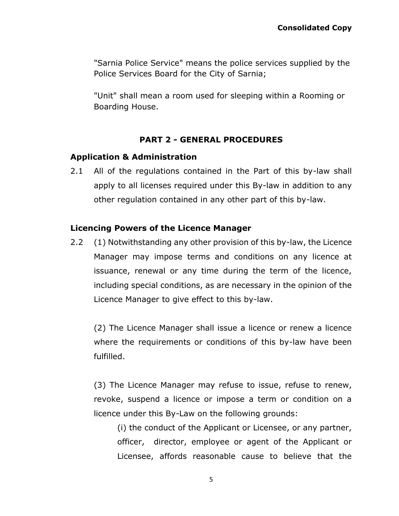"Sarnia Police Service" means the police services supplied by the Police Services Board for the City of Sarnia;

"Unit" shall mean a room used for sleeping within a Rooming or Boarding House.

## **PART 2 - GENERAL PROCEDURES**

### <span id="page-4-0"></span>**Application & Administration**

2.1 All of the regulations contained in the Part of this by-law shall apply to all licenses required under this By-law in addition to any other regulation contained in any other part of this by-law.

## **Licencing Powers of the Licence Manager**

2.2 (1) Notwithstanding any other provision of this by-law, the Licence Manager may impose terms and conditions on any licence at issuance, renewal or any time during the term of the licence, including special conditions, as are necessary in the opinion of the Licence Manager to give effect to this by-law.

(2) The Licence Manager shall issue a licence or renew a licence where the requirements or conditions of this by-law have been fulfilled.

(3) The Licence Manager may refuse to issue, refuse to renew, revoke, suspend a licence or impose a term or condition on a licence under this By-Law on the following grounds:

(i) the conduct of the Applicant or Licensee, or any partner, officer, director, employee or agent of the Applicant or Licensee, affords reasonable cause to believe that the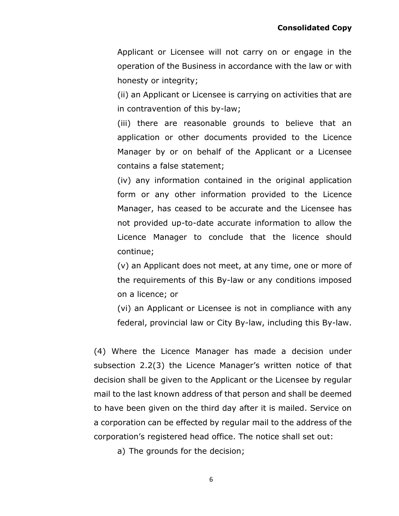Applicant or Licensee will not carry on or engage in the operation of the Business in accordance with the law or with honesty or integrity;

(ii) an Applicant or Licensee is carrying on activities that are in contravention of this by-law;

(iii) there are reasonable grounds to believe that an application or other documents provided to the Licence Manager by or on behalf of the Applicant or a Licensee contains a false statement;

(iv) any information contained in the original application form or any other information provided to the Licence Manager, has ceased to be accurate and the Licensee has not provided up-to-date accurate information to allow the Licence Manager to conclude that the licence should continue;

(v) an Applicant does not meet, at any time, one or more of the requirements of this By-law or any conditions imposed on a licence; or

(vi) an Applicant or Licensee is not in compliance with any federal, provincial law or City By-law, including this By-law.

(4) Where the Licence Manager has made a decision under subsection 2.2(3) the Licence Manager's written notice of that decision shall be given to the Applicant or the Licensee by regular mail to the last known address of that person and shall be deemed to have been given on the third day after it is mailed. Service on a corporation can be effected by regular mail to the address of the corporation's registered head office. The notice shall set out:

a) The grounds for the decision;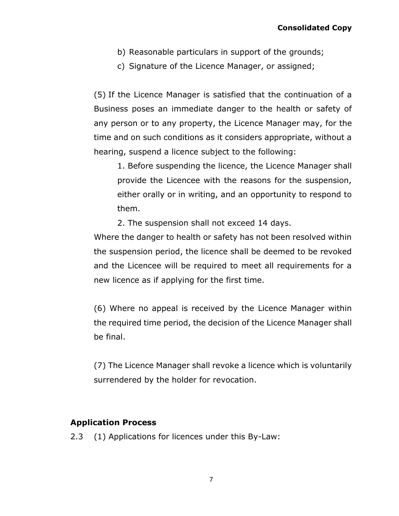- b) Reasonable particulars in support of the grounds;
- c) Signature of the Licence Manager, or assigned;

(5) If the Licence Manager is satisfied that the continuation of a Business poses an immediate danger to the health or safety of any person or to any property, the Licence Manager may, for the time and on such conditions as it considers appropriate, without a hearing, suspend a licence subject to the following:

1. Before suspending the licence, the Licence Manager shall provide the Licencee with the reasons for the suspension, either orally or in writing, and an opportunity to respond to them.

2. The suspension shall not exceed 14 days.

Where the danger to health or safety has not been resolved within the suspension period, the licence shall be deemed to be revoked and the Licencee will be required to meet all requirements for a new licence as if applying for the first time.

(6) Where no appeal is received by the Licence Manager within the required time period, the decision of the Licence Manager shall be final.

(7) The Licence Manager shall revoke a licence which is voluntarily surrendered by the holder for revocation.

## **Application Process**

2.3 (1) Applications for licences under this By-Law: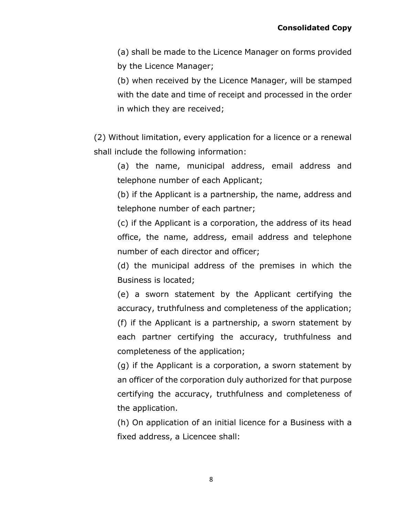(a) shall be made to the Licence Manager on forms provided by the Licence Manager;

(b) when received by the Licence Manager, will be stamped with the date and time of receipt and processed in the order in which they are received;

(2) Without limitation, every application for a licence or a renewal shall include the following information:

(a) the name, municipal address, email address and telephone number of each Applicant;

(b) if the Applicant is a partnership, the name, address and telephone number of each partner;

(c) if the Applicant is a corporation, the address of its head office, the name, address, email address and telephone number of each director and officer;

(d) the municipal address of the premises in which the Business is located;

(e) a sworn statement by the Applicant certifying the accuracy, truthfulness and completeness of the application; (f) if the Applicant is a partnership, a sworn statement by each partner certifying the accuracy, truthfulness and completeness of the application;

(g) if the Applicant is a corporation, a sworn statement by an officer of the corporation duly authorized for that purpose certifying the accuracy, truthfulness and completeness of the application.

(h) On application of an initial licence for a Business with a fixed address, a Licencee shall:

8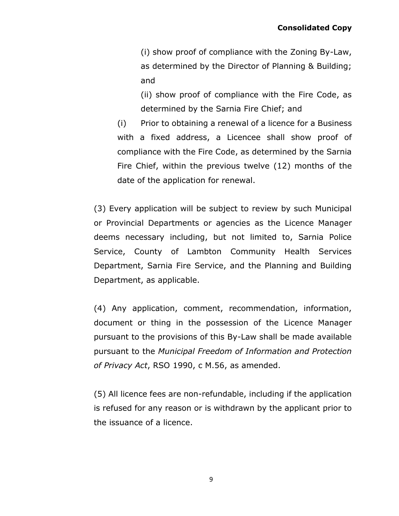(i) show proof of compliance with the Zoning By-Law, as determined by the Director of Planning & Building; and

(ii) show proof of compliance with the Fire Code, as determined by the Sarnia Fire Chief; and

(i) Prior to obtaining a renewal of a licence for a Business with a fixed address, a Licencee shall show proof of compliance with the Fire Code, as determined by the Sarnia Fire Chief, within the previous twelve (12) months of the date of the application for renewal.

(3) Every application will be subject to review by such Municipal or Provincial Departments or agencies as the Licence Manager deems necessary including, but not limited to, Sarnia Police Service, County of Lambton Community Health Services Department, Sarnia Fire Service, and the Planning and Building Department, as applicable.

(4) Any application, comment, recommendation, information, document or thing in the possession of the Licence Manager pursuant to the provisions of this By-Law shall be made available pursuant to the *Municipal Freedom of Information and Protection of Privacy Act*, RSO 1990, c M.56, as amended.

(5) All licence fees are non-refundable, including if the application is refused for any reason or is withdrawn by the applicant prior to the issuance of a licence.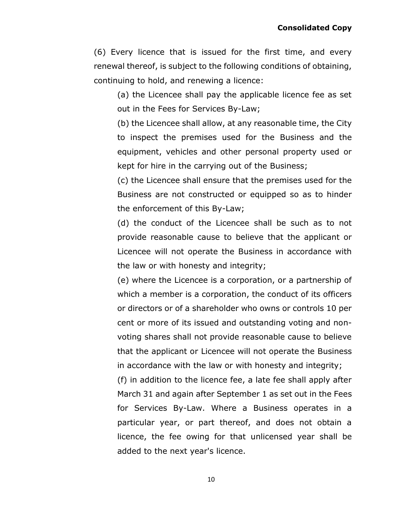(6) Every licence that is issued for the first time, and every renewal thereof, is subject to the following conditions of obtaining, continuing to hold, and renewing a licence:

(a) the Licencee shall pay the applicable licence fee as set out in the Fees for Services By-Law;

(b) the Licencee shall allow, at any reasonable time, the City to inspect the premises used for the Business and the equipment, vehicles and other personal property used or kept for hire in the carrying out of the Business;

(c) the Licencee shall ensure that the premises used for the Business are not constructed or equipped so as to hinder the enforcement of this By-Law;

(d) the conduct of the Licencee shall be such as to not provide reasonable cause to believe that the applicant or Licencee will not operate the Business in accordance with the law or with honesty and integrity;

(e) where the Licencee is a corporation, or a partnership of which a member is a corporation, the conduct of its officers or directors or of a shareholder who owns or controls 10 per cent or more of its issued and outstanding voting and nonvoting shares shall not provide reasonable cause to believe that the applicant or Licencee will not operate the Business in accordance with the law or with honesty and integrity;

(f) in addition to the licence fee, a late fee shall apply after March 31 and again after September 1 as set out in the Fees for Services By-Law. Where a Business operates in a particular year, or part thereof, and does not obtain a licence, the fee owing for that unlicensed year shall be added to the next year's licence.

10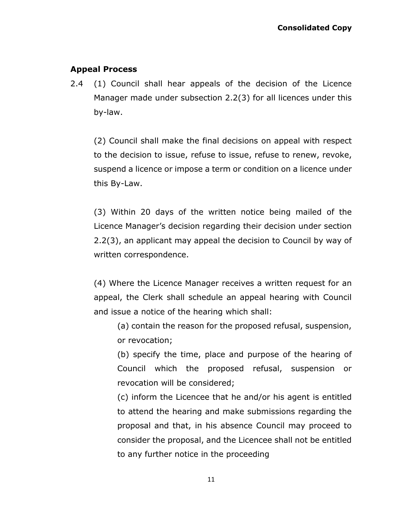# **Appeal Process**

2.4 (1) Council shall hear appeals of the decision of the Licence Manager made under subsection 2.2(3) for all licences under this by-law.

(2) Council shall make the final decisions on appeal with respect to the decision to issue, refuse to issue, refuse to renew, revoke, suspend a licence or impose a term or condition on a licence under this By-Law.

(3) Within 20 days of the written notice being mailed of the Licence Manager's decision regarding their decision under section 2.2(3), an applicant may appeal the decision to Council by way of written correspondence.

(4) Where the Licence Manager receives a written request for an appeal, the Clerk shall schedule an appeal hearing with Council and issue a notice of the hearing which shall:

(a) contain the reason for the proposed refusal, suspension, or revocation;

(b) specify the time, place and purpose of the hearing of Council which the proposed refusal, suspension or revocation will be considered;

(c) inform the Licencee that he and/or his agent is entitled to attend the hearing and make submissions regarding the proposal and that, in his absence Council may proceed to consider the proposal, and the Licencee shall not be entitled to any further notice in the proceeding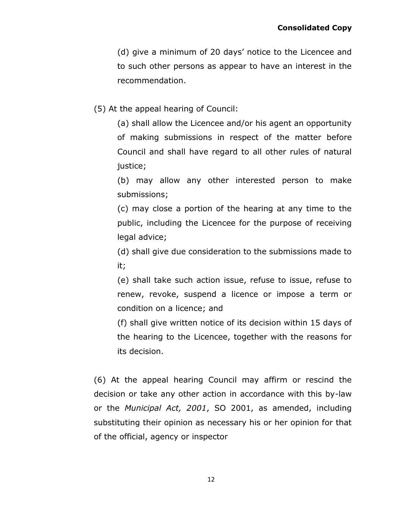(d) give a minimum of 20 days' notice to the Licencee and to such other persons as appear to have an interest in the recommendation.

(5) At the appeal hearing of Council:

(a) shall allow the Licencee and/or his agent an opportunity of making submissions in respect of the matter before Council and shall have regard to all other rules of natural justice;

(b) may allow any other interested person to make submissions;

(c) may close a portion of the hearing at any time to the public, including the Licencee for the purpose of receiving legal advice;

(d) shall give due consideration to the submissions made to it;

(e) shall take such action issue, refuse to issue, refuse to renew, revoke, suspend a licence or impose a term or condition on a licence; and

(f) shall give written notice of its decision within 15 days of the hearing to the Licencee, together with the reasons for its decision.

(6) At the appeal hearing Council may affirm or rescind the decision or take any other action in accordance with this by-law or the *Municipal Act, 2001*, SO 2001, as amended, including substituting their opinion as necessary his or her opinion for that of the official, agency or inspector

12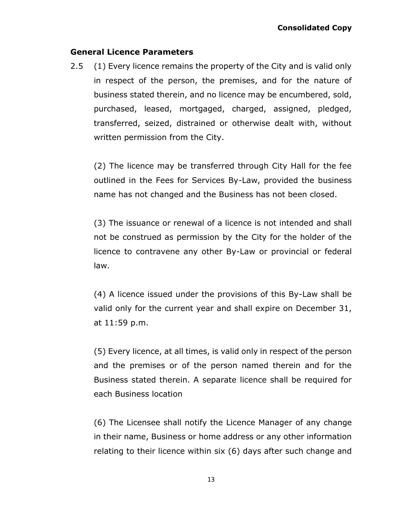### **General Licence Parameters**

2.5 (1) Every licence remains the property of the City and is valid only in respect of the person, the premises, and for the nature of business stated therein, and no licence may be encumbered, sold, purchased, leased, mortgaged, charged, assigned, pledged, transferred, seized, distrained or otherwise dealt with, without written permission from the City.

(2) The licence may be transferred through City Hall for the fee outlined in the Fees for Services By-Law, provided the business name has not changed and the Business has not been closed.

(3) The issuance or renewal of a licence is not intended and shall not be construed as permission by the City for the holder of the licence to contravene any other By-Law or provincial or federal law.

(4) A licence issued under the provisions of this By-Law shall be valid only for the current year and shall expire on December 31, at 11:59 p.m.

(5) Every licence, at all times, is valid only in respect of the person and the premises or of the person named therein and for the Business stated therein. A separate licence shall be required for each Business location

(6) The Licensee shall notify the Licence Manager of any change in their name, Business or home address or any other information relating to their licence within six (6) days after such change and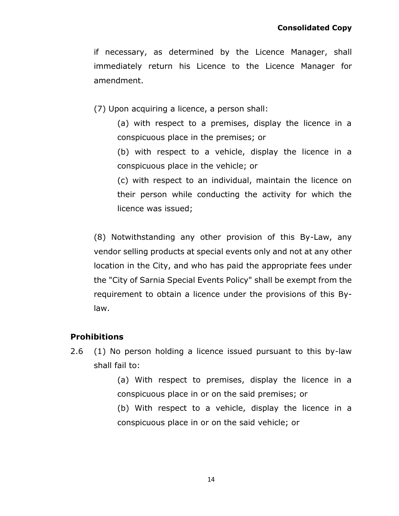if necessary, as determined by the Licence Manager, shall immediately return his Licence to the Licence Manager for amendment.

(7) Upon acquiring a licence, a person shall:

(a) with respect to a premises, display the licence in a conspicuous place in the premises; or

(b) with respect to a vehicle, display the licence in a conspicuous place in the vehicle; or

(c) with respect to an individual, maintain the licence on their person while conducting the activity for which the licence was issued;

(8) Notwithstanding any other provision of this By-Law, any vendor selling products at special events only and not at any other location in the City, and who has paid the appropriate fees under the "City of Sarnia Special Events Policy" shall be exempt from the requirement to obtain a licence under the provisions of this Bylaw.

### **Prohibitions**

2.6 (1) No person holding a licence issued pursuant to this by-law shall fail to:

> (a) With respect to premises, display the licence in a conspicuous place in or on the said premises; or

> (b) With respect to a vehicle, display the licence in a conspicuous place in or on the said vehicle; or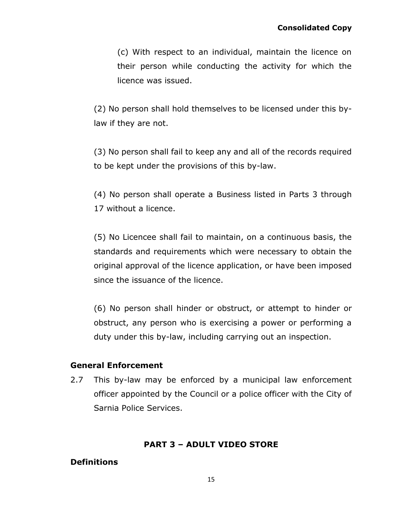(c) With respect to an individual, maintain the licence on their person while conducting the activity for which the licence was issued.

(2) No person shall hold themselves to be licensed under this bylaw if they are not.

(3) No person shall fail to keep any and all of the records required to be kept under the provisions of this by-law.

(4) No person shall operate a Business listed in Parts 3 through 17 without a licence.

(5) No Licencee shall fail to maintain, on a continuous basis, the standards and requirements which were necessary to obtain the original approval of the licence application, or have been imposed since the issuance of the licence.

(6) No person shall hinder or obstruct, or attempt to hinder or obstruct, any person who is exercising a power or performing a duty under this by-law, including carrying out an inspection.

### **General Enforcement**

2.7 This by-law may be enforced by a municipal law enforcement officer appointed by the Council or a police officer with the City of Sarnia Police Services.

### **PART 3 – ADULT VIDEO STORE**

## <span id="page-14-0"></span>**Definitions**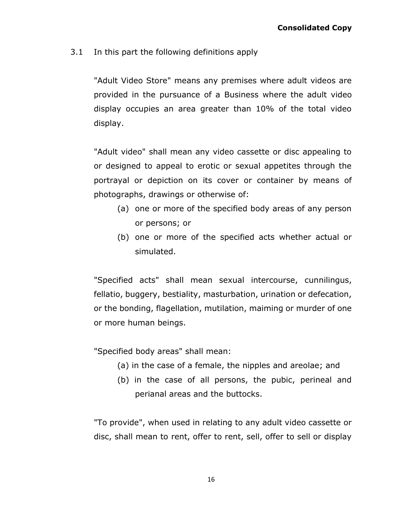3.1 In this part the following definitions apply

"Adult Video Store" means any premises where adult videos are provided in the pursuance of a Business where the adult video display occupies an area greater than 10% of the total video display.

"Adult video" shall mean any video cassette or disc appealing to or designed to appeal to erotic or sexual appetites through the portrayal or depiction on its cover or container by means of photographs, drawings or otherwise of:

- (a) one or more of the specified body areas of any person or persons; or
- (b) one or more of the specified acts whether actual or simulated.

"Specified acts" shall mean sexual intercourse, cunnilingus, fellatio, buggery, bestiality, masturbation, urination or defecation, or the bonding, flagellation, mutilation, maiming or murder of one or more human beings.

"Specified body areas" shall mean:

- (a) in the case of a female, the nipples and areolae; and
- (b) in the case of all persons, the pubic, perineal and perianal areas and the buttocks.

"To provide", when used in relating to any adult video cassette or disc, shall mean to rent, offer to rent, sell, offer to sell or display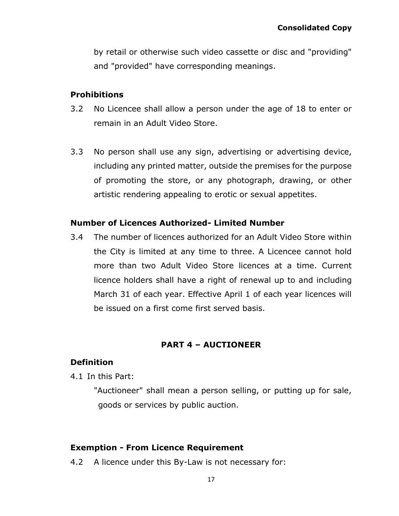by retail or otherwise such video cassette or disc and "providing" and "provided" have corresponding meanings.

### **Prohibitions**

- 3.2 No Licencee shall allow a person under the age of 18 to enter or remain in an Adult Video Store.
- 3.3 No person shall use any sign, advertising or advertising device, including any printed matter, outside the premises for the purpose of promoting the store, or any photograph, drawing, or other artistic rendering appealing to erotic or sexual appetites.

### **Number of Licences Authorized- Limited Number**

3.4 The number of licences authorized for an Adult Video Store within the City is limited at any time to three. A Licencee cannot hold more than two Adult Video Store licences at a time. Current licence holders shall have a right of renewal up to and including March 31 of each year. Effective April 1 of each year licences will be issued on a first come first served basis.

## **PART 4 – AUCTIONEER**

### <span id="page-16-0"></span>**Definition**

4.1 In this Part:

"Auctioneer" shall mean a person selling, or putting up for sale, goods or services by public auction.

## **Exemption - From Licence Requirement**

4.2 A licence under this By-Law is not necessary for: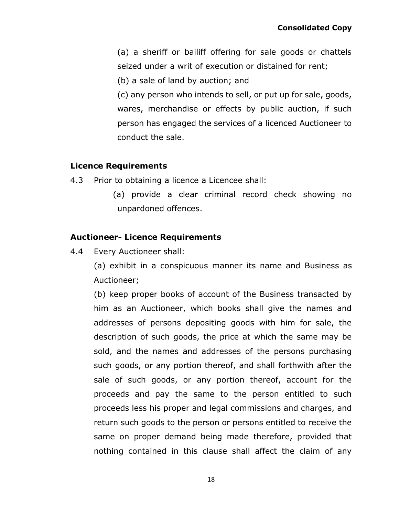(a) a sheriff or bailiff offering for sale goods or chattels seized under a writ of execution or distained for rent;

(b) a sale of land by auction; and

(c) any person who intends to sell, or put up for sale, goods, wares, merchandise or effects by public auction, if such person has engaged the services of a licenced Auctioneer to conduct the sale.

## **Licence Requirements**

- 4.3 Prior to obtaining a licence a Licencee shall:
	- (a) provide a clear criminal record check showing no unpardoned offences.

# **Auctioneer- Licence Requirements**

4.4 Every Auctioneer shall:

(a) exhibit in a conspicuous manner its name and Business as Auctioneer;

(b) keep proper books of account of the Business transacted by him as an Auctioneer, which books shall give the names and addresses of persons depositing goods with him for sale, the description of such goods, the price at which the same may be sold, and the names and addresses of the persons purchasing such goods, or any portion thereof, and shall forthwith after the sale of such goods, or any portion thereof, account for the proceeds and pay the same to the person entitled to such proceeds less his proper and legal commissions and charges, and return such goods to the person or persons entitled to receive the same on proper demand being made therefore, provided that nothing contained in this clause shall affect the claim of any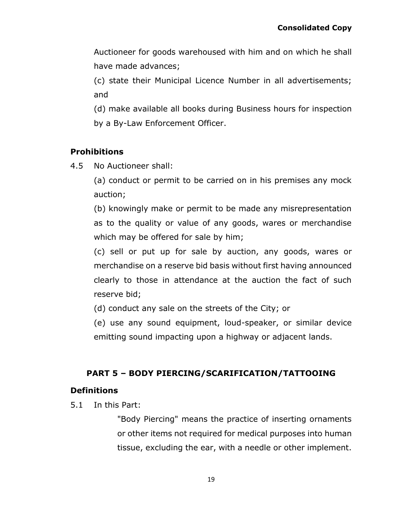Auctioneer for goods warehoused with him and on which he shall have made advances;

(c) state their Municipal Licence Number in all advertisements; and

(d) make available all books during Business hours for inspection by a By-Law Enforcement Officer.

# **Prohibitions**

4.5 No Auctioneer shall:

(a) conduct or permit to be carried on in his premises any mock auction;

(b) knowingly make or permit to be made any misrepresentation as to the quality or value of any goods, wares or merchandise which may be offered for sale by him;

(c) sell or put up for sale by auction, any goods, wares or merchandise on a reserve bid basis without first having announced clearly to those in attendance at the auction the fact of such reserve bid;

(d) conduct any sale on the streets of the City; or

(e) use any sound equipment, loud-speaker, or similar device emitting sound impacting upon a highway or adjacent lands.

# <span id="page-18-0"></span>**PART 5 – BODY PIERCING/SCARIFICATION/TATTOOING**

## **Definitions**

5.1 In this Part:

"Body Piercing" means the practice of inserting ornaments or other items not required for medical purposes into human tissue, excluding the ear, with a needle or other implement.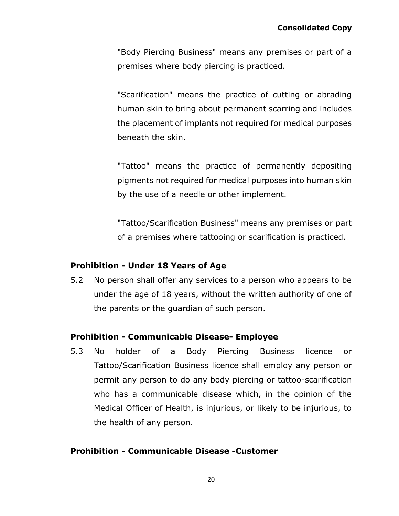"Body Piercing Business" means any premises or part of a premises where body piercing is practiced.

"Scarification" means the practice of cutting or abrading human skin to bring about permanent scarring and includes the placement of implants not required for medical purposes beneath the skin.

"Tattoo" means the practice of permanently depositing pigments not required for medical purposes into human skin by the use of a needle or other implement.

"Tattoo/Scarification Business" means any premises or part of a premises where tattooing or scarification is practiced.

## **Prohibition - Under 18 Years of Age**

5.2 No person shall offer any services to a person who appears to be under the age of 18 years, without the written authority of one of the parents or the guardian of such person.

### **Prohibition - Communicable Disease- Employee**

5.3 No holder of a Body Piercing Business licence or Tattoo/Scarification Business licence shall employ any person or permit any person to do any body piercing or tattoo-scarification who has a communicable disease which, in the opinion of the Medical Officer of Health, is injurious, or likely to be injurious, to the health of any person.

## **Prohibition - Communicable Disease -Customer**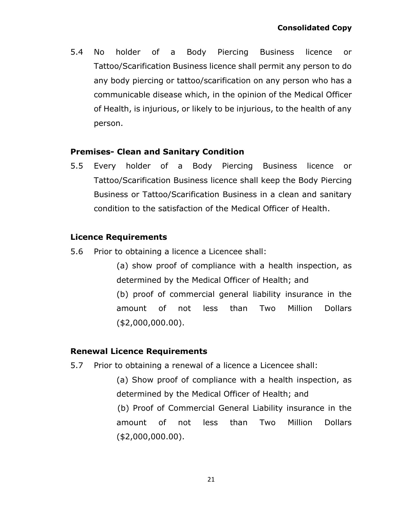5.4 No holder of a Body Piercing Business licence or Tattoo/Scarification Business licence shall permit any person to do any body piercing or tattoo/scarification on any person who has a communicable disease which, in the opinion of the Medical Officer of Health, is injurious, or likely to be injurious, to the health of any person.

### **Premises- Clean and Sanitary Condition**

5.5 Every holder of a Body Piercing Business licence or Tattoo/Scarification Business licence shall keep the Body Piercing Business or Tattoo/Scarification Business in a clean and sanitary condition to the satisfaction of the Medical Officer of Health.

## **Licence Requirements**

5.6 Prior to obtaining a licence a Licencee shall:

(a) show proof of compliance with a health inspection, as determined by the Medical Officer of Health; and (b) proof of commercial general liability insurance in the amount of not less than Two Million Dollars (\$2,000,000.00).

### **Renewal Licence Requirements**

5.7 Prior to obtaining a renewal of a licence a Licencee shall:

(a) Show proof of compliance with a health inspection, as determined by the Medical Officer of Health; and

(b) Proof of Commercial General Liability insurance in the amount of not less than Two Million Dollars (\$2,000,000.00).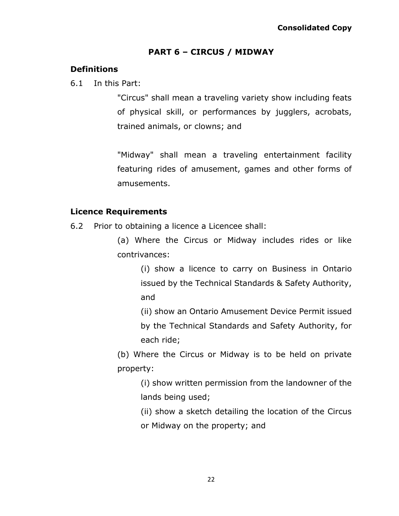## **PART 6 – CIRCUS / MIDWAY**

# <span id="page-21-0"></span>**Definitions**

6.1 In this Part:

"Circus" shall mean a traveling variety show including feats of physical skill, or performances by jugglers, acrobats, trained animals, or clowns; and

"Midway" shall mean a traveling entertainment facility featuring rides of amusement, games and other forms of amusements.

## **Licence Requirements**

6.2 Prior to obtaining a licence a Licencee shall:

(a) Where the Circus or Midway includes rides or like contrivances:

(i) show a licence to carry on Business in Ontario issued by the Technical Standards & Safety Authority, and

(ii) show an Ontario Amusement Device Permit issued

by the Technical Standards and Safety Authority, for each ride;

(b) Where the Circus or Midway is to be held on private property:

> (i) show written permission from the landowner of the lands being used;

> (ii) show a sketch detailing the location of the Circus or Midway on the property; and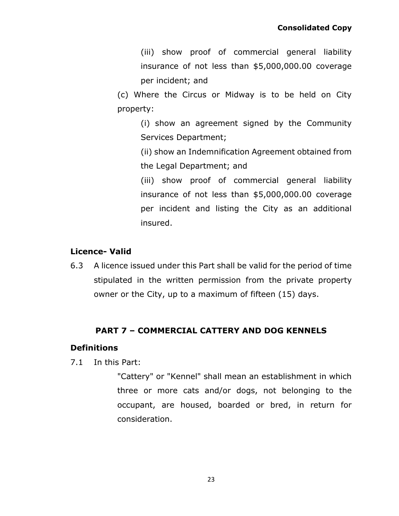(iii) show proof of commercial general liability insurance of not less than \$5,000,000.00 coverage per incident; and

(c) Where the Circus or Midway is to be held on City property:

(i) show an agreement signed by the Community Services Department;

(ii) show an Indemnification Agreement obtained from the Legal Department; and

(iii) show proof of commercial general liability insurance of not less than \$5,000,000.00 coverage per incident and listing the City as an additional insured.

## **Licence- Valid**

6.3 A licence issued under this Part shall be valid for the period of time stipulated in the written permission from the private property owner or the City, up to a maximum of fifteen (15) days.

## **PART 7 – COMMERCIAL CATTERY AND DOG KENNELS**

### <span id="page-22-0"></span>**Definitions**

7.1 In this Part:

"Cattery" or "Kennel" shall mean an establishment in which three or more cats and/or dogs, not belonging to the occupant, are housed, boarded or bred, in return for consideration.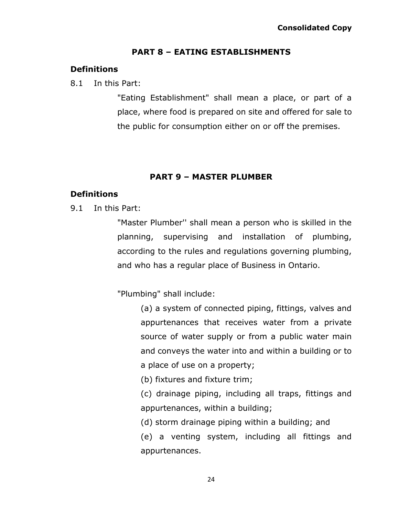### **PART 8 – EATING ESTABLISHMENTS**

### <span id="page-23-0"></span>**Definitions**

#### 8.1 In this Part:

"Eating Establishment" shall mean a place, or part of a place, where food is prepared on site and offered for sale to the public for consumption either on or off the premises.

## **PART 9 – MASTER PLUMBER**

### <span id="page-23-1"></span>**Definitions**

9.1 In this Part:

"Master Plumber'' shall mean a person who is skilled in the planning, supervising and installation of plumbing, according to the rules and regulations governing plumbing, and who has a regular place of Business in Ontario.

"Plumbing" shall include:

(a) a system of connected piping, fittings, valves and appurtenances that receives water from a private source of water supply or from a public water main and conveys the water into and within a building or to a place of use on a property;

(b) fixtures and fixture trim;

(c) drainage piping, including all traps, fittings and appurtenances, within a building;

(d) storm drainage piping within a building; and

(e) a venting system, including all fittings and appurtenances.

24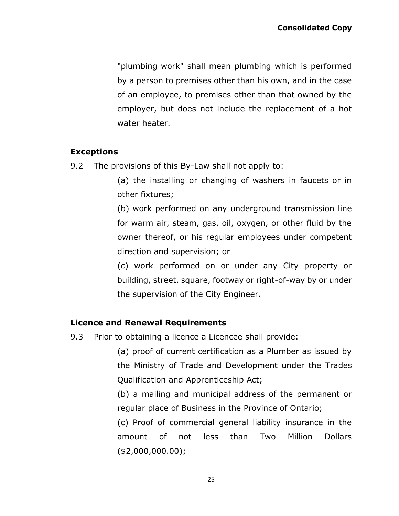"plumbing work" shall mean plumbing which is performed by a person to premises other than his own, and in the case of an employee, to premises other than that owned by the employer, but does not include the replacement of a hot water heater.

## **Exceptions**

9.2 The provisions of this By-Law shall not apply to:

(a) the installing or changing of washers in faucets or in other fixtures;

(b) work performed on any underground transmission line for warm air, steam, gas, oil, oxygen, or other fluid by the owner thereof, or his regular employees under competent direction and supervision; or

(c) work performed on or under any City property or building, street, square, footway or right-of-way by or under the supervision of the City Engineer.

## **Licence and Renewal Requirements**

9.3 Prior to obtaining a licence a Licencee shall provide:

(a) proof of current certification as a Plumber as issued by the Ministry of Trade and Development under the Trades Qualification and Apprenticeship Act;

(b) a mailing and municipal address of the permanent or regular place of Business in the Province of Ontario;

(c) Proof of commercial general liability insurance in the amount of not less than Two Million Dollars (\$2,000,000.00);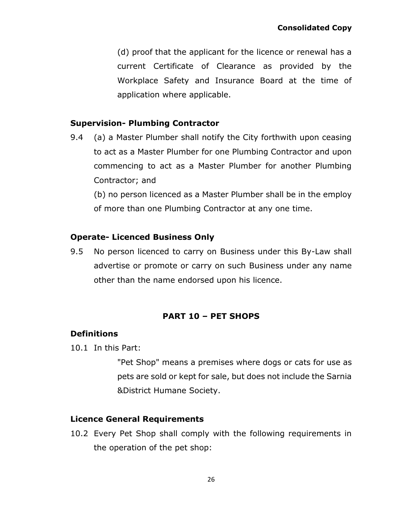(d) proof that the applicant for the licence or renewal has a current Certificate of Clearance as provided by the Workplace Safety and Insurance Board at the time of application where applicable.

## **Supervision- Plumbing Contractor**

9.4 (a) a Master Plumber shall notify the City forthwith upon ceasing to act as a Master Plumber for one Plumbing Contractor and upon commencing to act as a Master Plumber for another Plumbing Contractor; and

(b) no person licenced as a Master Plumber shall be in the employ of more than one Plumbing Contractor at any one time.

## **Operate- Licenced Business Only**

9.5 No person licenced to carry on Business under this By-Law shall advertise or promote or carry on such Business under any name other than the name endorsed upon his licence.

## **PART 10 – PET SHOPS**

## <span id="page-25-0"></span>**Definitions**

10.1 In this Part:

"Pet Shop" means a premises where dogs or cats for use as pets are sold or kept for sale, but does not include the Sarnia &District Humane Society.

### **Licence General Requirements**

10.2 Every Pet Shop shall comply with the following requirements in the operation of the pet shop: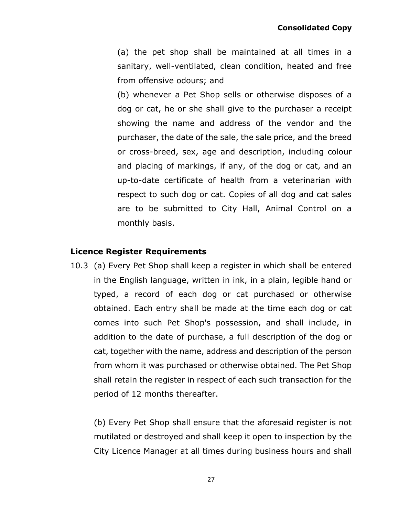(a) the pet shop shall be maintained at all times in a sanitary, well-ventilated, clean condition, heated and free from offensive odours; and

(b) whenever a Pet Shop sells or otherwise disposes of a dog or cat, he or she shall give to the purchaser a receipt showing the name and address of the vendor and the purchaser, the date of the sale, the sale price, and the breed or cross-breed, sex, age and description, including colour and placing of markings, if any, of the dog or cat, and an up-to-date certificate of health from a veterinarian with respect to such dog or cat. Copies of all dog and cat sales are to be submitted to City Hall, Animal Control on a monthly basis.

#### **Licence Register Requirements**

10.3 (a) Every Pet Shop shall keep a register in which shall be entered in the English language, written in ink, in a plain, legible hand or typed, a record of each dog or cat purchased or otherwise obtained. Each entry shall be made at the time each dog or cat comes into such Pet Shop's possession, and shall include, in addition to the date of purchase, a full description of the dog or cat, together with the name, address and description of the person from whom it was purchased or otherwise obtained. The Pet Shop shall retain the register in respect of each such transaction for the period of 12 months thereafter.

(b) Every Pet Shop shall ensure that the aforesaid register is not mutilated or destroyed and shall keep it open to inspection by the City Licence Manager at all times during business hours and shall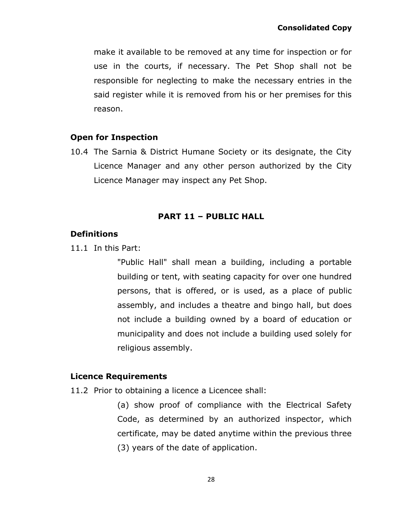make it available to be removed at any time for inspection or for use in the courts, if necessary. The Pet Shop shall not be responsible for neglecting to make the necessary entries in the said register while it is removed from his or her premises for this reason.

## **Open for Inspection**

10.4 The Sarnia & District Humane Society or its designate, the City Licence Manager and any other person authorized by the City Licence Manager may inspect any Pet Shop.

## **PART 11 – PUBLIC HALL**

## <span id="page-27-0"></span>**Definitions**

11.1 In this Part:

"Public Hall" shall mean a building, including a portable building or tent, with seating capacity for over one hundred persons, that is offered, or is used, as a place of public assembly, and includes a theatre and bingo hall, but does not include a building owned by a board of education or municipality and does not include a building used solely for religious assembly.

### **Licence Requirements**

11.2 Prior to obtaining a licence a Licencee shall:

(a) show proof of compliance with the Electrical Safety Code, as determined by an authorized inspector, which certificate, may be dated anytime within the previous three (3) years of the date of application.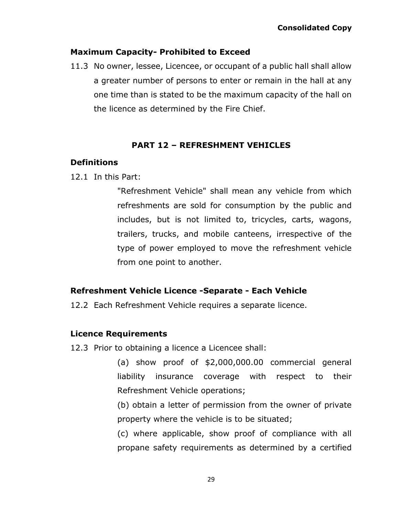## **Maximum Capacity- Prohibited to Exceed**

11.3 No owner, lessee, Licencee, or occupant of a public hall shall allow a greater number of persons to enter or remain in the hall at any one time than is stated to be the maximum capacity of the hall on the licence as determined by the Fire Chief.

## **PART 12 – REFRESHMENT VEHICLES**

## <span id="page-28-0"></span>**Definitions**

12.1 In this Part:

"Refreshment Vehicle" shall mean any vehicle from which refreshments are sold for consumption by the public and includes, but is not limited to, tricycles, carts, wagons, trailers, trucks, and mobile canteens, irrespective of the type of power employed to move the refreshment vehicle from one point to another.

## **Refreshment Vehicle Licence -Separate - Each Vehicle**

12.2 Each Refreshment Vehicle requires a separate licence.

## **Licence Requirements**

12.3 Prior to obtaining a licence a Licencee shall:

(a) show proof of \$2,000,000.00 commercial general liability insurance coverage with respect to their Refreshment Vehicle operations;

(b) obtain a letter of permission from the owner of private property where the vehicle is to be situated;

(c) where applicable, show proof of compliance with all propane safety requirements as determined by a certified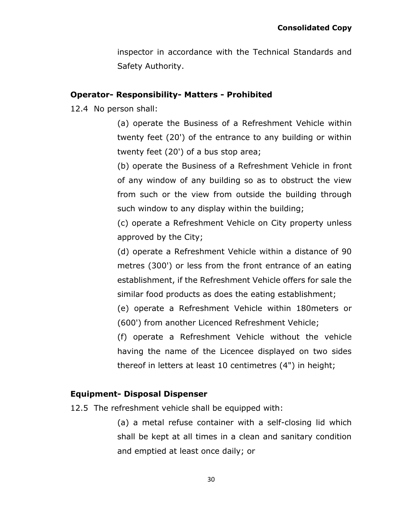inspector in accordance with the Technical Standards and Safety Authority.

### **Operator- Responsibility- Matters - Prohibited**

12.4 No person shall:

(a) operate the Business of a Refreshment Vehicle within twenty feet (20') of the entrance to any building or within twenty feet (20') of a bus stop area;

(b) operate the Business of a Refreshment Vehicle in front of any window of any building so as to obstruct the view from such or the view from outside the building through such window to any display within the building;

(c) operate a Refreshment Vehicle on City property unless approved by the City;

(d) operate a Refreshment Vehicle within a distance of 90 metres (300') or less from the front entrance of an eating establishment, if the Refreshment Vehicle offers for sale the similar food products as does the eating establishment;

(e) operate a Refreshment Vehicle within 180meters or (600') from another Licenced Refreshment Vehicle;

(f) operate a Refreshment Vehicle without the vehicle having the name of the Licencee displayed on two sides thereof in letters at least 10 centimetres (4") in height;

## **Equipment- Disposal Dispenser**

12.5 The refreshment vehicle shall be equipped with:

(a) a metal refuse container with a self-closing lid which shall be kept at all times in a clean and sanitary condition and emptied at least once daily; or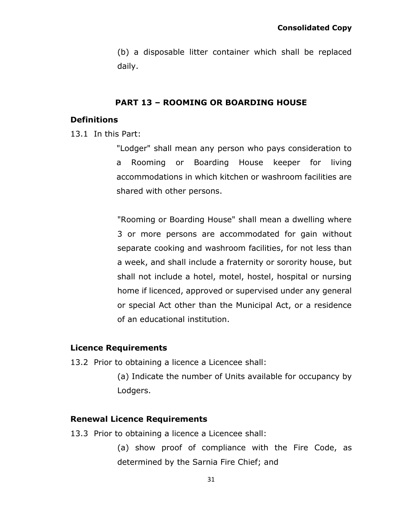(b) a disposable litter container which shall be replaced daily.

### **PART 13 – ROOMING OR BOARDING HOUSE**

#### <span id="page-30-0"></span>**Definitions**

13.1 In this Part:

"Lodger" shall mean any person who pays consideration to a Rooming or Boarding House keeper for living accommodations in which kitchen or washroom facilities are shared with other persons.

"Rooming or Boarding House" shall mean a dwelling where 3 or more persons are accommodated for gain without separate cooking and washroom facilities, for not less than a week, and shall include a fraternity or sorority house, but shall not include a hotel, motel, hostel, hospital or nursing home if licenced, approved or supervised under any general or special Act other than the Municipal Act, or a residence of an educational institution.

#### **Licence Requirements**

- 13.2 Prior to obtaining a licence a Licencee shall:
	- (a) Indicate the number of Units available for occupancy by Lodgers.

#### **Renewal Licence Requirements**

- 13.3 Prior to obtaining a licence a Licencee shall:
	- (a) show proof of compliance with the Fire Code, as determined by the Sarnia Fire Chief; and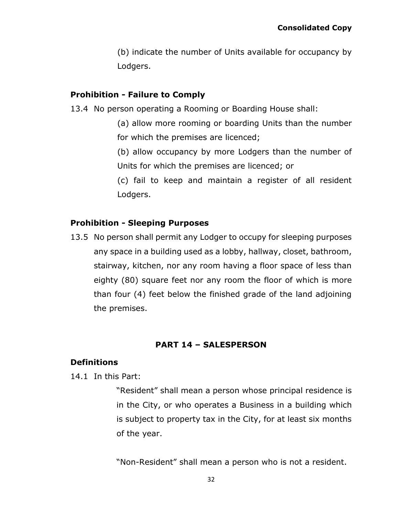(b) indicate the number of Units available for occupancy by Lodgers.

### **Prohibition - Failure to Comply**

- 13.4 No person operating a Rooming or Boarding House shall:
	- (a) allow more rooming or boarding Units than the number for which the premises are licenced;
	- (b) allow occupancy by more Lodgers than the number of Units for which the premises are licenced; or
	- (c) fail to keep and maintain a register of all resident Lodgers.

## **Prohibition - Sleeping Purposes**

13.5 No person shall permit any Lodger to occupy for sleeping purposes any space in a building used as a lobby, hallway, closet, bathroom, stairway, kitchen, nor any room having a floor space of less than eighty (80) square feet nor any room the floor of which is more than four (4) feet below the finished grade of the land adjoining the premises.

# **PART 14 – SALESPERSON**

## <span id="page-31-0"></span>**Definitions**

14.1 In this Part:

"Resident" shall mean a person whose principal residence is in the City, or who operates a Business in a building which is subject to property tax in the City, for at least six months of the year.

"Non-Resident" shall mean a person who is not a resident.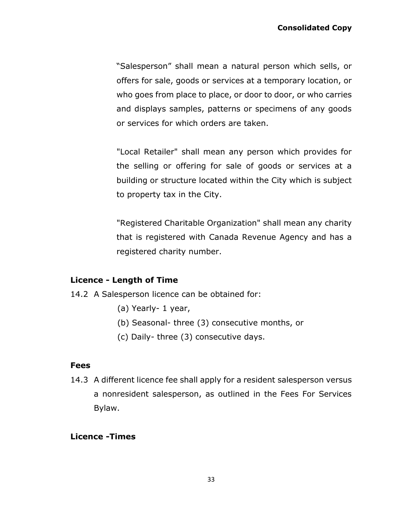"Salesperson" shall mean a natural person which sells, or offers for sale, goods or services at a temporary location, or who goes from place to place, or door to door, or who carries and displays samples, patterns or specimens of any goods or services for which orders are taken.

"Local Retailer" shall mean any person which provides for the selling or offering for sale of goods or services at a building or structure located within the City which is subject to property tax in the City.

"Registered Charitable Organization" shall mean any charity that is registered with Canada Revenue Agency and has a registered charity number.

### **Licence - Length of Time**

- 14.2 A Salesperson licence can be obtained for:
	- (a) Yearly- 1 year,
	- (b) Seasonal- three (3) consecutive months, or
	- (c) Daily- three (3) consecutive days.

### **Fees**

14.3 A different licence fee shall apply for a resident salesperson versus a nonresident salesperson, as outlined in the Fees For Services Bylaw.

### **Licence -Times**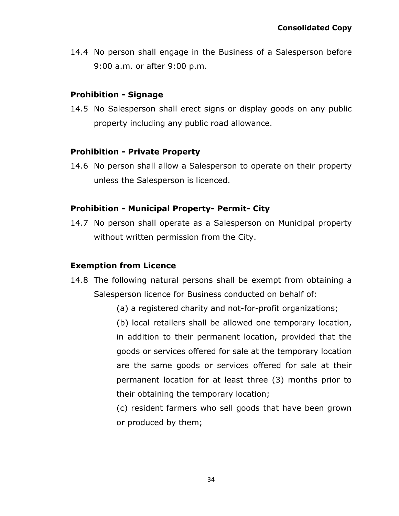14.4 No person shall engage in the Business of a Salesperson before 9:00 a.m. or after 9:00 p.m.

### **Prohibition - Signage**

14.5 No Salesperson shall erect signs or display goods on any public property including any public road allowance.

## **Prohibition - Private Property**

14.6 No person shall allow a Salesperson to operate on their property unless the Salesperson is licenced.

## **Prohibition - Municipal Property- Permit- City**

14.7 No person shall operate as a Salesperson on Municipal property without written permission from the City.

# **Exemption from Licence**

- 14.8 The following natural persons shall be exempt from obtaining a Salesperson licence for Business conducted on behalf of:
	- (a) a registered charity and not-for-profit organizations;

(b) local retailers shall be allowed one temporary location, in addition to their permanent location, provided that the goods or services offered for sale at the temporary location are the same goods or services offered for sale at their permanent location for at least three (3) months prior to their obtaining the temporary location;

(c) resident farmers who sell goods that have been grown or produced by them;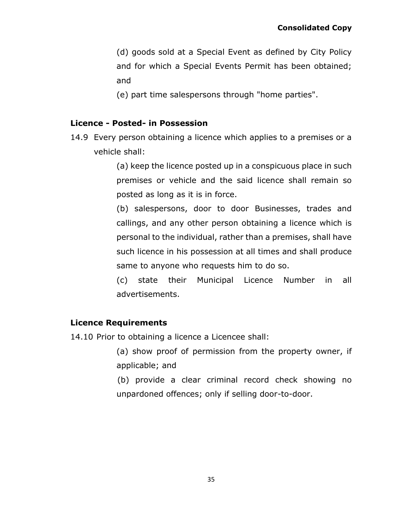(d) goods sold at a Special Event as defined by City Policy and for which a Special Events Permit has been obtained; and

(e) part time salespersons through "home parties".

## **Licence - Posted- in Possession**

14.9 Every person obtaining a licence which applies to a premises or a vehicle shall:

> (a) keep the licence posted up in a conspicuous place in such premises or vehicle and the said licence shall remain so posted as long as it is in force.

> (b) salespersons, door to door Businesses, trades and callings, and any other person obtaining a licence which is personal to the individual, rather than a premises, shall have such licence in his possession at all times and shall produce same to anyone who requests him to do so.

> (c) state their Municipal Licence Number in all advertisements.

## **Licence Requirements**

14.10 Prior to obtaining a licence a Licencee shall:

- (a) show proof of permission from the property owner, if applicable; and
- (b) provide a clear criminal record check showing no unpardoned offences; only if selling door-to-door.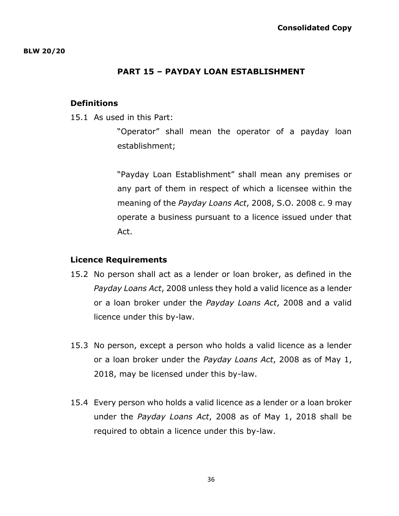#### **PART 15 – PAYDAY LOAN ESTABLISHMENT**

#### <span id="page-35-0"></span>**Definitions**

15.1 As used in this Part:

"Operator" shall mean the operator of a payday loan establishment;

"Payday Loan Establishment" shall mean any premises or any part of them in respect of which a licensee within the meaning of the *Payday Loans Act*, 2008, S.O. 2008 c. 9 may operate a business pursuant to a licence issued under that Act.

#### **Licence Requirements**

- 15.2 No person shall act as a lender or loan broker, as defined in the *Payday Loans Act*, 2008 unless they hold a valid licence as a lender or a loan broker under the *Payday Loans Act*, 2008 and a valid licence under this by-law.
- 15.3 No person, except a person who holds a valid licence as a lender or a loan broker under the *Payday Loans Act*, 2008 as of May 1, 2018, may be licensed under this by-law.
- 15.4 Every person who holds a valid licence as a lender or a loan broker under the *Payday Loans Act*, 2008 as of May 1, 2018 shall be required to obtain a licence under this by-law.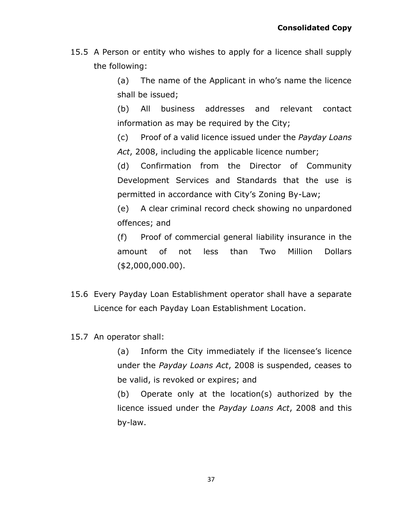15.5 A Person or entity who wishes to apply for a licence shall supply the following:

> (a) The name of the Applicant in who's name the licence shall be issued;

> (b) All business addresses and relevant contact information as may be required by the City;

> (c) Proof of a valid licence issued under the *Payday Loans Act*, 2008, including the applicable licence number;

> (d) Confirmation from the Director of Community Development Services and Standards that the use is permitted in accordance with City's Zoning By-Law;

> (e) A clear criminal record check showing no unpardoned offences; and

> (f) Proof of commercial general liability insurance in the amount of not less than Two Million Dollars (\$2,000,000.00).

- 15.6 Every Payday Loan Establishment operator shall have a separate Licence for each Payday Loan Establishment Location.
- 15.7 An operator shall:

(a) Inform the City immediately if the licensee's licence under the *Payday Loans Act*, 2008 is suspended, ceases to be valid, is revoked or expires; and

(b) Operate only at the location(s) authorized by the licence issued under the *Payday Loans Act*, 2008 and this by-law.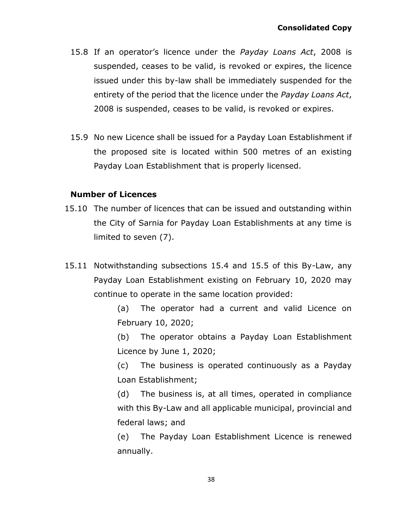- 15.8 If an operator's licence under the *Payday Loans Act*, 2008 is suspended, ceases to be valid, is revoked or expires, the licence issued under this by-law shall be immediately suspended for the entirety of the period that the licence under the *Payday Loans Act*, 2008 is suspended, ceases to be valid, is revoked or expires.
- 15.9 No new Licence shall be issued for a Payday Loan Establishment if the proposed site is located within 500 metres of an existing Payday Loan Establishment that is properly licensed.

### **Number of Licences**

- 15.10 The number of licences that can be issued and outstanding within the City of Sarnia for Payday Loan Establishments at any time is limited to seven (7).
- 15.11 Notwithstanding subsections 15.4 and 15.5 of this By-Law, any Payday Loan Establishment existing on February 10, 2020 may continue to operate in the same location provided:

(a) The operator had a current and valid Licence on February 10, 2020;

(b) The operator obtains a Payday Loan Establishment Licence by June 1, 2020;

(c) The business is operated continuously as a Payday Loan Establishment;

(d) The business is, at all times, operated in compliance with this By-Law and all applicable municipal, provincial and federal laws; and

(e) The Payday Loan Establishment Licence is renewed annually.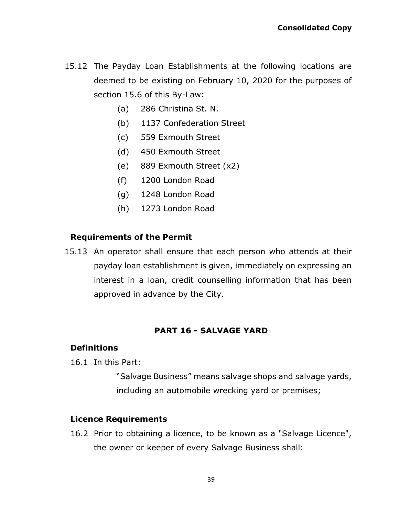- 15.12 The Payday Loan Establishments at the following locations are deemed to be existing on February 10, 2020 for the purposes of section 15.6 of this By-Law:
	- (a) 286 Christina St. N.
	- (b) 1137 Confederation Street
	- (c) 559 Exmouth Street
	- (d) 450 Exmouth Street
	- (e) 889 Exmouth Street (x2)
	- (f) 1200 London Road
	- (g) 1248 London Road
	- (h) 1273 London Road

## **Requirements of the Permit**

15.13 An operator shall ensure that each person who attends at their payday loan establishment is given, immediately on expressing an interest in a loan, credit counselling information that has been approved in advance by the City.

## **PART 16 - SALVAGE YARD**

### <span id="page-38-0"></span>**Definitions**

16.1 In this Part:

"Salvage Business" means salvage shops and salvage yards, including an automobile wrecking yard or premises;

### **Licence Requirements**

16.2 Prior to obtaining a licence, to be known as a "Salvage Licence", the owner or keeper of every Salvage Business shall: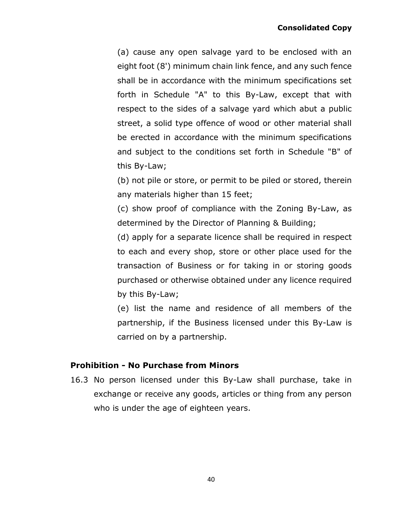(a) cause any open salvage yard to be enclosed with an eight foot (8') minimum chain link fence, and any such fence shall be in accordance with the minimum specifications set forth in Schedule "A" to this By-Law, except that with respect to the sides of a salvage yard which abut a public street, a solid type offence of wood or other material shall be erected in accordance with the minimum specifications and subject to the conditions set forth in Schedule "B" of this By-Law;

(b) not pile or store, or permit to be piled or stored, therein any materials higher than 15 feet;

(c) show proof of compliance with the Zoning By-Law, as determined by the Director of Planning & Building;

(d) apply for a separate licence shall be required in respect to each and every shop, store or other place used for the transaction of Business or for taking in or storing goods purchased or otherwise obtained under any licence required by this By-Law;

(e) list the name and residence of all members of the partnership, if the Business licensed under this By-Law is carried on by a partnership.

## **Prohibition - No Purchase from Minors**

16.3 No person licensed under this By-Law shall purchase, take in exchange or receive any goods, articles or thing from any person who is under the age of eighteen years.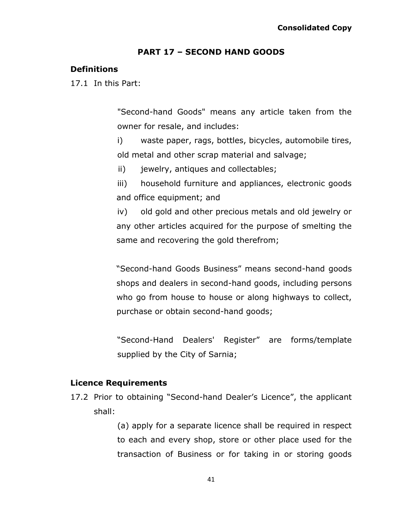#### **PART 17 – SECOND HAND GOODS**

#### <span id="page-40-0"></span>**Definitions**

17.1 In this Part:

"Second-hand Goods" means any article taken from the owner for resale, and includes:

i) waste paper, rags, bottles, bicycles, automobile tires, old metal and other scrap material and salvage;

ii) jewelry, antiques and collectables;

iii) household furniture and appliances, electronic goods and office equipment; and

iv) old gold and other precious metals and old jewelry or any other articles acquired for the purpose of smelting the same and recovering the gold therefrom;

"Second-hand Goods Business" means second-hand goods shops and dealers in second-hand goods, including persons who go from house to house or along highways to collect, purchase or obtain second-hand goods;

"Second-Hand Dealers' Register" are forms/template supplied by the City of Sarnia;

#### **Licence Requirements**

17.2 Prior to obtaining "Second-hand Dealer's Licence", the applicant shall:

> (a) apply for a separate licence shall be required in respect to each and every shop, store or other place used for the transaction of Business or for taking in or storing goods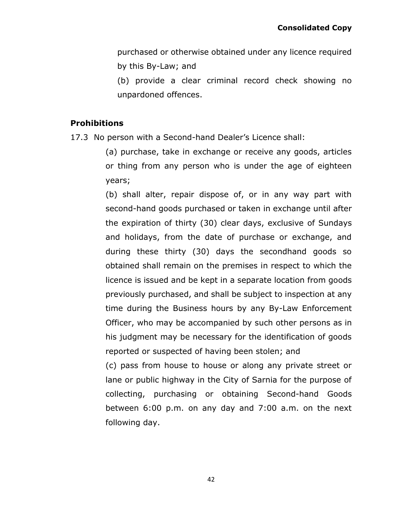purchased or otherwise obtained under any licence required by this By-Law; and

(b) provide a clear criminal record check showing no unpardoned offences.

### **Prohibitions**

17.3 No person with a Second-hand Dealer's Licence shall:

(a) purchase, take in exchange or receive any goods, articles or thing from any person who is under the age of eighteen years;

(b) shall alter, repair dispose of, or in any way part with second-hand goods purchased or taken in exchange until after the expiration of thirty (30) clear days, exclusive of Sundays and holidays, from the date of purchase or exchange, and during these thirty (30) days the secondhand goods so obtained shall remain on the premises in respect to which the licence is issued and be kept in a separate location from goods previously purchased, and shall be subject to inspection at any time during the Business hours by any By-Law Enforcement Officer, who may be accompanied by such other persons as in his judgment may be necessary for the identification of goods reported or suspected of having been stolen; and

(c) pass from house to house or along any private street or lane or public highway in the City of Sarnia for the purpose of collecting, purchasing or obtaining Second-hand Goods between 6:00 p.m. on any day and 7:00 a.m. on the next following day.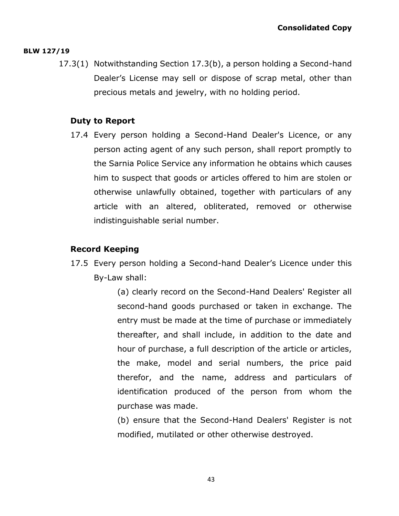#### **BLW 127/19**

17.3(1) Notwithstanding Section 17.3(b), a person holding a Second-hand Dealer's License may sell or dispose of scrap metal, other than precious metals and jewelry, with no holding period.

### **Duty to Report**

17.4 Every person holding a Second-Hand Dealer's Licence, or any person acting agent of any such person, shall report promptly to the Sarnia Police Service any information he obtains which causes him to suspect that goods or articles offered to him are stolen or otherwise unlawfully obtained, together with particulars of any article with an altered, obliterated, removed or otherwise indistinguishable serial number.

## **Record Keeping**

17.5 Every person holding a Second-hand Dealer's Licence under this By-Law shall:

> (a) clearly record on the Second-Hand Dealers' Register all second-hand goods purchased or taken in exchange. The entry must be made at the time of purchase or immediately thereafter, and shall include, in addition to the date and hour of purchase, a full description of the article or articles, the make, model and serial numbers, the price paid therefor, and the name, address and particulars of identification produced of the person from whom the purchase was made.

> (b) ensure that the Second-Hand Dealers' Register is not modified, mutilated or other otherwise destroyed.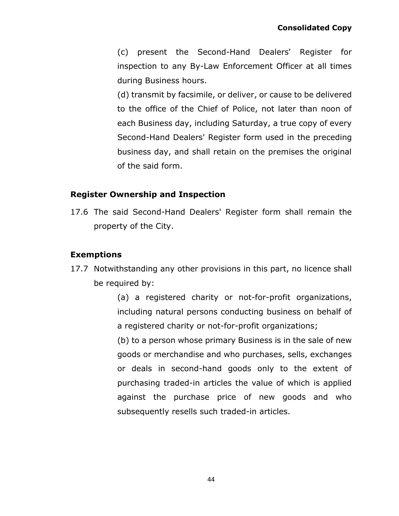(c) present the Second-Hand Dealers' Register for inspection to any By-Law Enforcement Officer at all times during Business hours.

(d) transmit by facsimile, or deliver, or cause to be delivered to the office of the Chief of Police, not later than noon of each Business day, including Saturday, a true copy of every Second-Hand Dealers' Register form used in the preceding business day, and shall retain on the premises the original of the said form.

## **Register Ownership and Inspection**

17.6 The said Second-Hand Dealers' Register form shall remain the property of the City.

# **Exemptions**

17.7 Notwithstanding any other provisions in this part, no licence shall be required by:

> (a) a registered charity or not-for-profit organizations, including natural persons conducting business on behalf of a registered charity or not-for-profit organizations;

> (b) to a person whose primary Business is in the sale of new goods or merchandise and who purchases, sells, exchanges or deals in second-hand goods only to the extent of purchasing traded-in articles the value of which is applied against the purchase price of new goods and who subsequently resells such traded-in articles.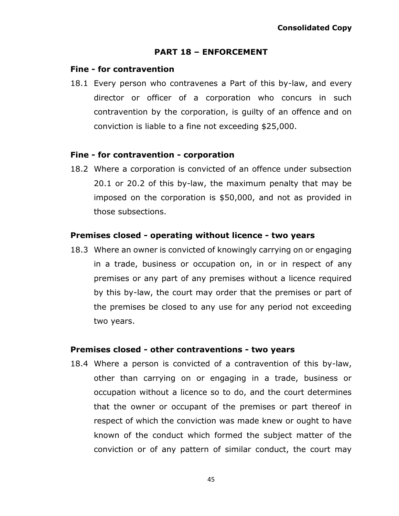#### **PART 18 – ENFORCEMENT**

#### <span id="page-44-0"></span>**Fine - for contravention**

18.1 Every person who contravenes a Part of this by-law, and every director or officer of a corporation who concurs in such contravention by the corporation, is guilty of an offence and on conviction is liable to a fine not exceeding \$25,000.

#### **Fine - for contravention - corporation**

18.2 Where a corporation is convicted of an offence under subsection 20.1 or 20.2 of this by-law, the maximum penalty that may be imposed on the corporation is \$50,000, and not as provided in those subsections.

### **Premises closed - operating without licence - two years**

18.3 Where an owner is convicted of knowingly carrying on or engaging in a trade, business or occupation on, in or in respect of any premises or any part of any premises without a licence required by this by-law, the court may order that the premises or part of the premises be closed to any use for any period not exceeding two years.

#### **Premises closed - other contraventions - two years**

18.4 Where a person is convicted of a contravention of this by-law, other than carrying on or engaging in a trade, business or occupation without a licence so to do, and the court determines that the owner or occupant of the premises or part thereof in respect of which the conviction was made knew or ought to have known of the conduct which formed the subject matter of the conviction or of any pattern of similar conduct, the court may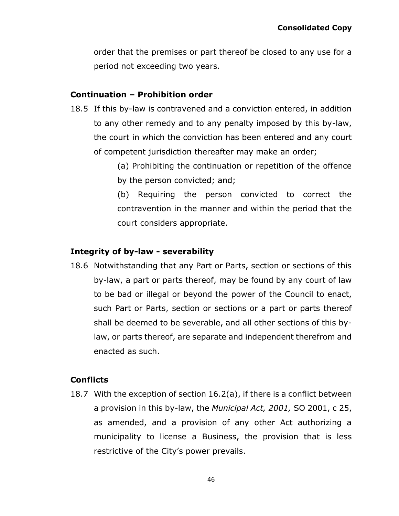order that the premises or part thereof be closed to any use for a period not exceeding two years.

### **Continuation – Prohibition order**

- 18.5 If this by-law is contravened and a conviction entered, in addition to any other remedy and to any penalty imposed by this by-law, the court in which the conviction has been entered and any court of competent jurisdiction thereafter may make an order;
	- (a) Prohibiting the continuation or repetition of the offence by the person convicted; and;
	- (b) Requiring the person convicted to correct the contravention in the manner and within the period that the court considers appropriate.

### **Integrity of by-law - severability**

18.6 Notwithstanding that any Part or Parts, section or sections of this by-law, a part or parts thereof, may be found by any court of law to be bad or illegal or beyond the power of the Council to enact, such Part or Parts, section or sections or a part or parts thereof shall be deemed to be severable, and all other sections of this bylaw, or parts thereof, are separate and independent therefrom and enacted as such.

## **Conflicts**

18.7 With the exception of section 16.2(a), if there is a conflict between a provision in this by-law, the *Municipal Act, 2001,* SO 2001, c 25, as amended, and a provision of any other Act authorizing a municipality to license a Business, the provision that is less restrictive of the City's power prevails.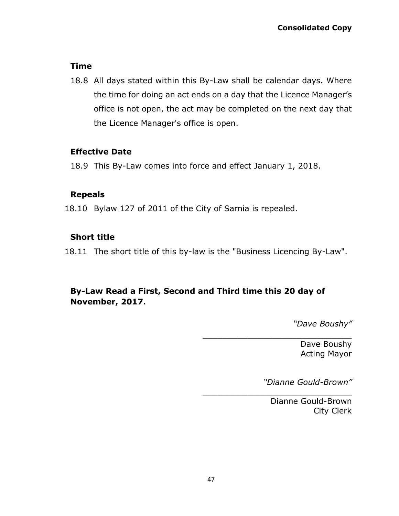### **Time**

18.8 All days stated within this By-Law shall be calendar days. Where the time for doing an act ends on a day that the Licence Manager's office is not open, the act may be completed on the next day that the Licence Manager's office is open.

### **Effective Date**

18.9 This By-Law comes into force and effect January 1, 2018.

### **Repeals**

18.10 Bylaw 127 of 2011 of the City of Sarnia is repealed.

## **Short title**

18.11 The short title of this by-law is the "Business Licencing By-Law".

# **By-Law Read a First, Second and Third time this 20 day of November, 2017.**

*"Dave Boushy"*

Dave Boushy Acting Mayor

*"Dianne Gould-Brown"*

\_\_\_\_\_\_\_\_\_\_\_\_\_\_\_\_\_\_\_\_\_\_\_\_\_\_\_\_\_\_

\_\_\_\_\_\_\_\_\_\_\_\_\_\_\_\_\_\_\_\_\_\_\_\_\_\_\_\_\_\_

Dianne Gould-Brown City Clerk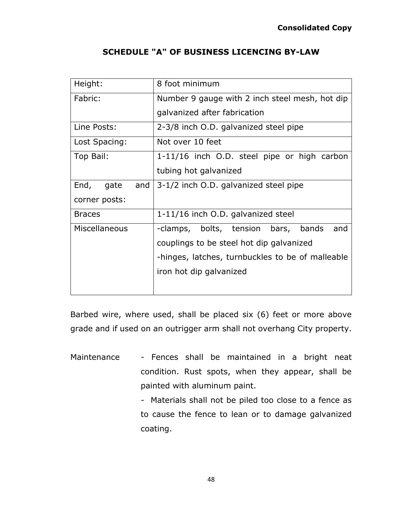<span id="page-47-0"></span>

| Height:             | 8 foot minimum                                   |
|---------------------|--------------------------------------------------|
| Fabric:             | Number 9 gauge with 2 inch steel mesh, hot dip   |
|                     | galvanized after fabrication                     |
| Line Posts:         | 2-3/8 inch O.D. galvanized steel pipe            |
| Lost Spacing:       | Not over 10 feet                                 |
| Top Bail:           | 1-11/16 inch O.D. steel pipe or high carbon      |
|                     | tubing hot galvanized                            |
| End,<br>gate<br>and | 3-1/2 inch O.D. galvanized steel pipe            |
| corner posts:       |                                                  |
| <b>Braces</b>       | 1-11/16 inch O.D. galvanized steel               |
| Miscellaneous       | and<br>-clamps, bolts, tension bars, bands       |
|                     | couplings to be steel hot dip galvanized         |
|                     | -hinges, latches, turnbuckles to be of malleable |
|                     | iron hot dip galvanized                          |
|                     |                                                  |

## **SCHEDULE "A" OF BUSINESS LICENCING BY-LAW**

Barbed wire, where used, shall be placed six (6) feet or more above grade and if used on an outrigger arm shall not overhang City property.

Maintenance - Fences shall be maintained in a bright neat condition. Rust spots, when they appear, shall be painted with aluminum paint.

> - Materials shall not be piled too close to a fence as to cause the fence to lean or to damage galvanized coating.